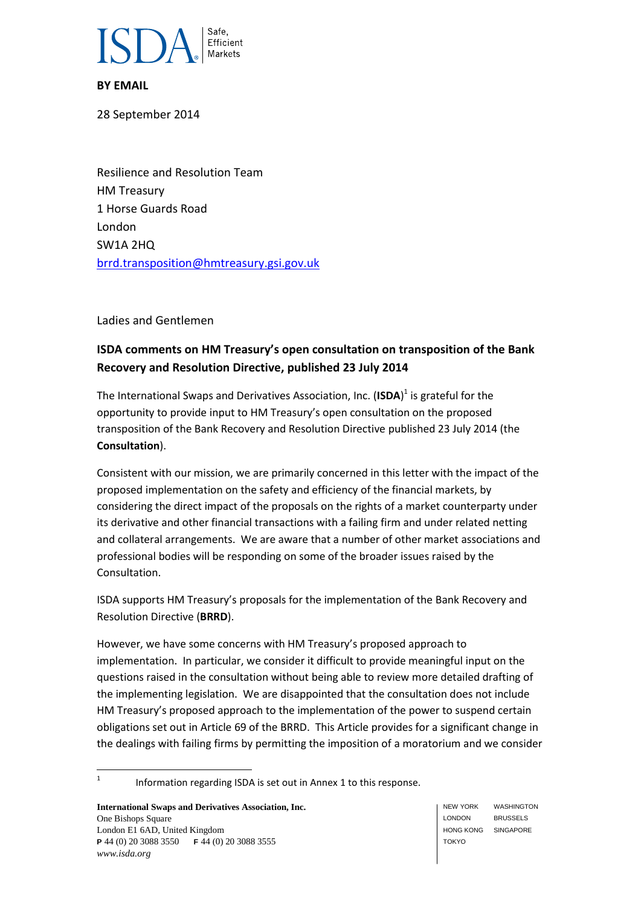

### **BY EMAIL**

28 September 2014

Resilience and Resolution Team HM Treasury 1 Horse Guards Road London SW1A 2HQ [brrd.transposition@hmtreasury.gsi.gov.uk](mailto:brrd.transposition@hmtreasury.gsi.gov.uk)

Ladies and Gentlemen

# **ISDA comments on HM Treasury's open consultation on transposition of the Bank Recovery and Resolution Directive, published 23 July 2014**

The International Swaps and Derivatives Association, Inc. (**ISDA**) 1 is grateful for the opportunity to provide input to HM Treasury's open consultation on the proposed transposition of the Bank Recovery and Resolution Directive published 23 July 2014 (the **Consultation**).

Consistent with our mission, we are primarily concerned in this letter with the impact of the proposed implementation on the safety and efficiency of the financial markets, by considering the direct impact of the proposals on the rights of a market counterparty under its derivative and other financial transactions with a failing firm and under related netting and collateral arrangements. We are aware that a number of other market associations and professional bodies will be responding on some of the broader issues raised by the Consultation.

ISDA supports HM Treasury's proposals for the implementation of the Bank Recovery and Resolution Directive (**BRRD**).

However, we have some concerns with HM Treasury's proposed approach to implementation. In particular, we consider it difficult to provide meaningful input on the questions raised in the consultation without being able to review more detailed drafting of the implementing legislation. We are disappointed that the consultation does not include HM Treasury's proposed approach to the implementation of the power to suspend certain obligations set out in Article 69 of the BRRD. This Article provides for a significant change in the dealings with failing firms by permitting the imposition of a moratorium and we consider

 $\frac{1}{1}$ Information regarding ISDA is set out in Annex 1 to this response.

**International Swaps and Derivatives Association, Inc.** One Bishops Square London E1 6AD, United Kingdom **P** 44 (0) 20 3088 3550 **F** 44 (0) 20 3088 3555 *www.isda.org*

NEW YORK LONDON HONG KONG SINGAPORE TOKYO WASHINGTON BRUSSELS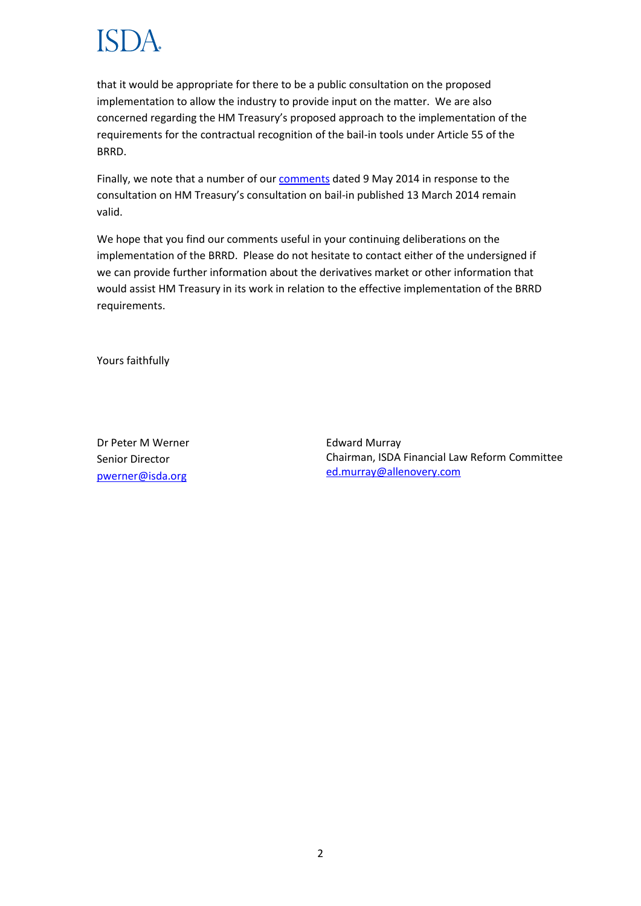that it would be appropriate for there to be a public consultation on the proposed implementation to allow the industry to provide input on the matter. We are also concerned regarding the HM Treasury's proposed approach to the implementation of the requirements for the contractual recognition of the bail-in tools under Article 55 of the BRRD.

Finally, we note that a number of our [comments](http://www2.isda.org/images/file_exts/fileext_pdf.png) dated 9 May 2014 in response to the consultation on HM Treasury's consultation on bail-in published 13 March 2014 remain valid.

We hope that you find our comments useful in your continuing deliberations on the implementation of the BRRD. Please do not hesitate to contact either of the undersigned if we can provide further information about the derivatives market or other information that would assist HM Treasury in its work in relation to the effective implementation of the BRRD requirements.

Yours faithfully

Dr Peter M Werner Senior Director [pwerner@isda.org](mailto:pwerner@isda.org)

Edward Murray Chairman, ISDA Financial Law Reform Committee [ed.murray@allenovery.com](mailto:ed.murray@allenovery.com)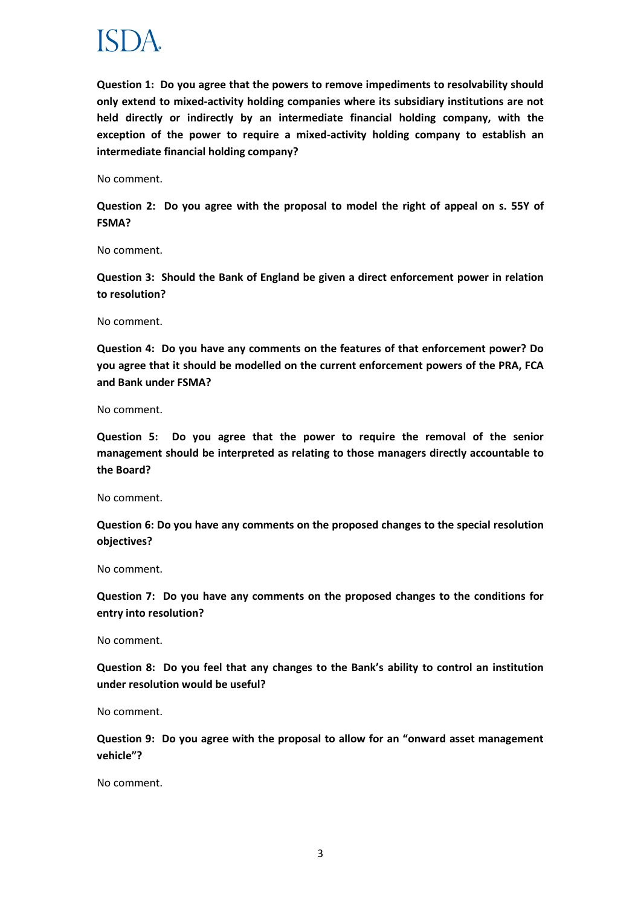

**Question 1: Do you agree that the powers to remove impediments to resolvability should only extend to mixed-activity holding companies where its subsidiary institutions are not held directly or indirectly by an intermediate financial holding company, with the exception of the power to require a mixed-activity holding company to establish an intermediate financial holding company?**

No comment.

**Question 2: Do you agree with the proposal to model the right of appeal on s. 55Y of FSMA?**

No comment.

**Question 3: Should the Bank of England be given a direct enforcement power in relation to resolution?**

No comment.

**Question 4: Do you have any comments on the features of that enforcement power? Do you agree that it should be modelled on the current enforcement powers of the PRA, FCA and Bank under FSMA?**

No comment.

**Question 5: Do you agree that the power to require the removal of the senior management should be interpreted as relating to those managers directly accountable to the Board?**

No comment.

**Question 6: Do you have any comments on the proposed changes to the special resolution objectives?**

No comment.

**Question 7: Do you have any comments on the proposed changes to the conditions for entry into resolution?**

No comment.

**Question 8: Do you feel that any changes to the Bank's ability to control an institution under resolution would be useful?**

No comment.

**Question 9: Do you agree with the proposal to allow for an "onward asset management vehicle"?**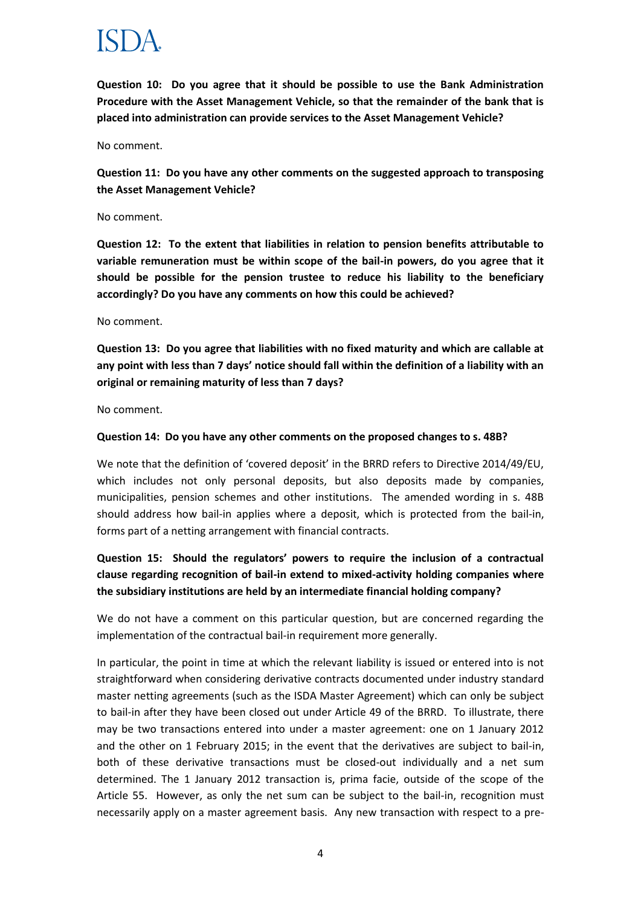**Question 10: Do you agree that it should be possible to use the Bank Administration Procedure with the Asset Management Vehicle, so that the remainder of the bank that is placed into administration can provide services to the Asset Management Vehicle?**

No comment.

**Question 11: Do you have any other comments on the suggested approach to transposing the Asset Management Vehicle?**

### No comment.

**Question 12: To the extent that liabilities in relation to pension benefits attributable to variable remuneration must be within scope of the bail-in powers, do you agree that it should be possible for the pension trustee to reduce his liability to the beneficiary accordingly? Do you have any comments on how this could be achieved?**

### No comment.

**Question 13: Do you agree that liabilities with no fixed maturity and which are callable at any point with less than 7 days' notice should fall within the definition of a liability with an original or remaining maturity of less than 7 days?**

No comment.

### **Question 14: Do you have any other comments on the proposed changes to s. 48B?**

We note that the definition of 'covered deposit' in the BRRD refers to Directive 2014/49/EU, which includes not only personal deposits, but also deposits made by companies, municipalities, pension schemes and other institutions. The amended wording in s. 48B should address how bail-in applies where a deposit, which is protected from the bail-in, forms part of a netting arrangement with financial contracts.

## **Question 15: Should the regulators' powers to require the inclusion of a contractual clause regarding recognition of bail-in extend to mixed-activity holding companies where the subsidiary institutions are held by an intermediate financial holding company?**

We do not have a comment on this particular question, but are concerned regarding the implementation of the contractual bail-in requirement more generally.

In particular, the point in time at which the relevant liability is issued or entered into is not straightforward when considering derivative contracts documented under industry standard master netting agreements (such as the ISDA Master Agreement) which can only be subject to bail-in after they have been closed out under Article 49 of the BRRD. To illustrate, there may be two transactions entered into under a master agreement: one on 1 January 2012 and the other on 1 February 2015; in the event that the derivatives are subject to bail-in, both of these derivative transactions must be closed-out individually and a net sum determined. The 1 January 2012 transaction is, prima facie, outside of the scope of the Article 55. However, as only the net sum can be subject to the bail-in, recognition must necessarily apply on a master agreement basis. Any new transaction with respect to a pre-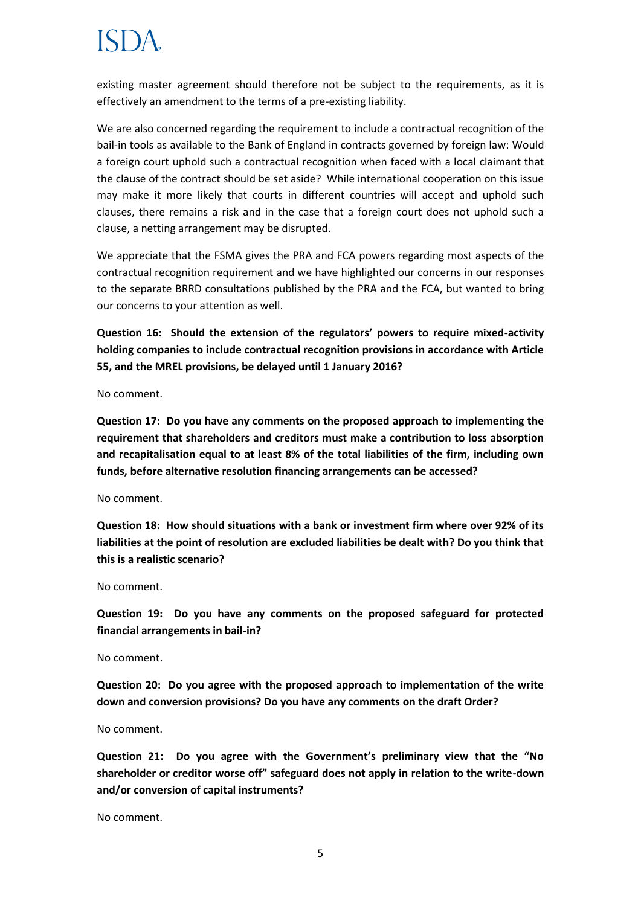existing master agreement should therefore not be subject to the requirements, as it is effectively an amendment to the terms of a pre-existing liability.

We are also concerned regarding the requirement to include a contractual recognition of the bail-in tools as available to the Bank of England in contracts governed by foreign law: Would a foreign court uphold such a contractual recognition when faced with a local claimant that the clause of the contract should be set aside? While international cooperation on this issue may make it more likely that courts in different countries will accept and uphold such clauses, there remains a risk and in the case that a foreign court does not uphold such a clause, a netting arrangement may be disrupted.

We appreciate that the FSMA gives the PRA and FCA powers regarding most aspects of the contractual recognition requirement and we have highlighted our concerns in our responses to the separate BRRD consultations published by the PRA and the FCA, but wanted to bring our concerns to your attention as well.

**Question 16: Should the extension of the regulators' powers to require mixed-activity holding companies to include contractual recognition provisions in accordance with Article 55, and the MREL provisions, be delayed until 1 January 2016?**

No comment.

**Question 17: Do you have any comments on the proposed approach to implementing the requirement that shareholders and creditors must make a contribution to loss absorption and recapitalisation equal to at least 8% of the total liabilities of the firm, including own funds, before alternative resolution financing arrangements can be accessed?**

No comment.

**Question 18: How should situations with a bank or investment firm where over 92% of its liabilities at the point of resolution are excluded liabilities be dealt with? Do you think that this is a realistic scenario?**

No comment.

**Question 19: Do you have any comments on the proposed safeguard for protected financial arrangements in bail-in?**

No comment.

**Question 20: Do you agree with the proposed approach to implementation of the write down and conversion provisions? Do you have any comments on the draft Order?**

No comment.

**Question 21: Do you agree with the Government's preliminary view that the "No shareholder or creditor worse off" safeguard does not apply in relation to the write-down and/or conversion of capital instruments?**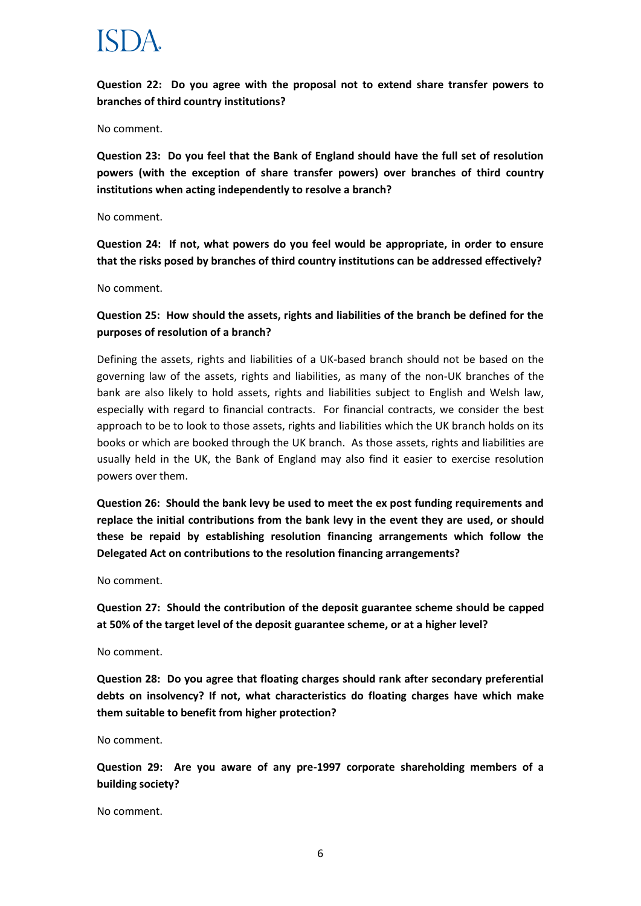**Question 22: Do you agree with the proposal not to extend share transfer powers to branches of third country institutions?**

No comment.

**Question 23: Do you feel that the Bank of England should have the full set of resolution powers (with the exception of share transfer powers) over branches of third country institutions when acting independently to resolve a branch?**

No comment.

**Question 24: If not, what powers do you feel would be appropriate, in order to ensure that the risks posed by branches of third country institutions can be addressed effectively?**

No comment.

## **Question 25: How should the assets, rights and liabilities of the branch be defined for the purposes of resolution of a branch?**

Defining the assets, rights and liabilities of a UK-based branch should not be based on the governing law of the assets, rights and liabilities, as many of the non-UK branches of the bank are also likely to hold assets, rights and liabilities subject to English and Welsh law, especially with regard to financial contracts. For financial contracts, we consider the best approach to be to look to those assets, rights and liabilities which the UK branch holds on its books or which are booked through the UK branch. As those assets, rights and liabilities are usually held in the UK, the Bank of England may also find it easier to exercise resolution powers over them.

**Question 26: Should the bank levy be used to meet the ex post funding requirements and replace the initial contributions from the bank levy in the event they are used, or should these be repaid by establishing resolution financing arrangements which follow the Delegated Act on contributions to the resolution financing arrangements?**

No comment.

**Question 27: Should the contribution of the deposit guarantee scheme should be capped at 50% of the target level of the deposit guarantee scheme, or at a higher level?**

No comment.

**Question 28: Do you agree that floating charges should rank after secondary preferential debts on insolvency? If not, what characteristics do floating charges have which make them suitable to benefit from higher protection?**

No comment.

**Question 29: Are you aware of any pre-1997 corporate shareholding members of a building society?**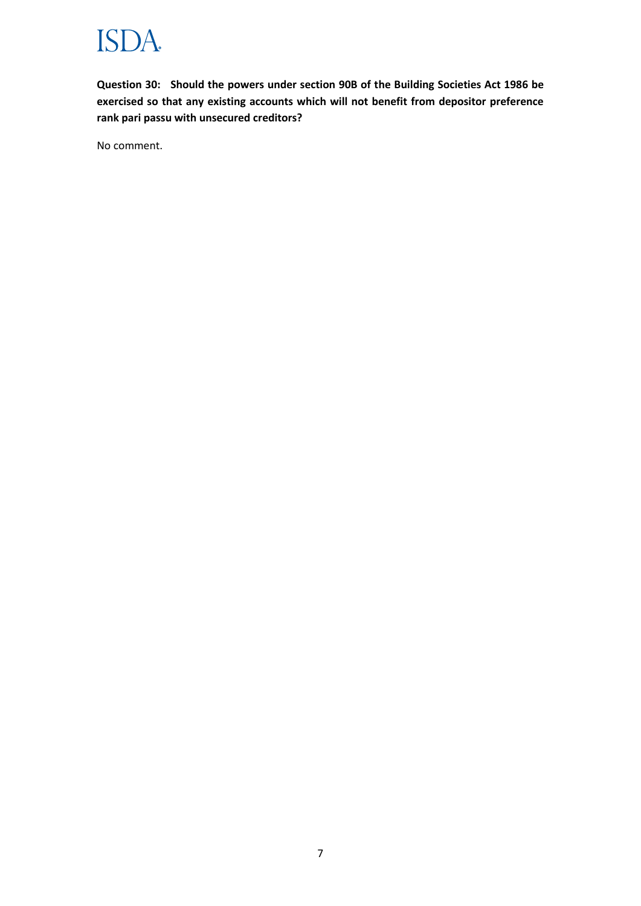

**Question 30: Should the powers under section 90B of the Building Societies Act 1986 be exercised so that any existing accounts which will not benefit from depositor preference rank pari passu with unsecured creditors?**